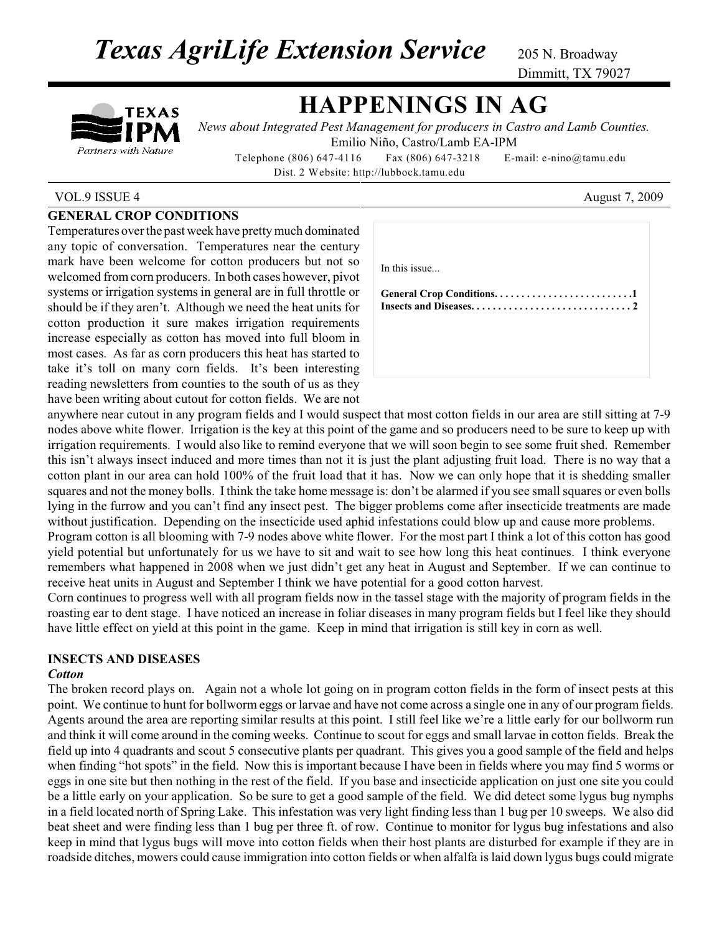**Texas AgriLife Extension Service** 205 N. Broadway

Dimmitt, TX 79027

# TEXAS Partners with Nature

# **HAPPENINGS IN AG**

*News about Integrated Pest Management for producers in Castro and Lamb Counties.* Emilio Niño, Castro/Lamb EA-IPM

Telephone (806) 647-4116 Fax (806) 647-3218 E-mail: e-nino@tamu.edu Dist. 2 Website: http://lubbock.tamu.edu

### VOL.9 ISSUE 4 August 7, 2009

### **GENERAL CROP CONDITIONS**

Temperatures over the past week have pretty much dominated any topic of conversation. Temperatures near the century mark have been welcome for cotton producers but not so welcomed from corn producers. In both cases however, pivot systems or irrigation systems in general are in full throttle or should be if they aren't. Although we need the heat units for cotton production it sure makes irrigation requirements increase especially as cotton has moved into full bloom in most cases. As far as corn producers this heat has started to take it's toll on many corn fields. It's been interesting reading newsletters from counties to the south of us as they have been writing about cutout for cotton fields. We are not

| In this issue |  |
|---------------|--|
|               |  |
|               |  |
|               |  |

anywhere near cutout in any program fields and I would suspect that most cotton fields in our area are still sitting at 7-9 nodes above white flower. Irrigation is the key at this point of the game and so producers need to be sure to keep up with irrigation requirements. I would also like to remind everyone that we will soon begin to see some fruit shed. Remember this isn't always insect induced and more times than not it is just the plant adjusting fruit load. There is no way that a cotton plant in our area can hold 100% of the fruit load that it has. Now we can only hope that it is shedding smaller squares and not the money bolls. I think the take home message is: don't be alarmed if you see small squares or even bolls lying in the furrow and you can't find any insect pest. The bigger problems come after insecticide treatments are made without justification. Depending on the insecticide used aphid infestations could blow up and cause more problems.

Program cotton is all blooming with 7-9 nodes above white flower. For the most part I think a lot of this cotton has good yield potential but unfortunately for us we have to sit and wait to see how long this heat continues. I think everyone remembers what happened in 2008 when we just didn't get any heat in August and September. If we can continue to receive heat units in August and September I think we have potential for a good cotton harvest.

Corn continues to progress well with all program fields now in the tassel stage with the majority of program fields in the roasting ear to dent stage. I have noticed an increase in foliar diseases in many program fields but I feel like they should have little effect on yield at this point in the game. Keep in mind that irrigation is still key in corn as well.

### **INSECTS AND DISEASES**

#### *Cotton*

The broken record plays on. Again not a whole lot going on in program cotton fields in the form of insect pests at this point. We continue to hunt for bollworm eggs or larvae and have not come across a single one in any of our program fields. Agents around the area are reporting similar results at this point. I still feel like we're a little early for our bollworm run and think it will come around in the coming weeks. Continue to scout for eggs and small larvae in cotton fields. Break the field up into 4 quadrants and scout 5 consecutive plants per quadrant. This gives you a good sample of the field and helps when finding "hot spots" in the field. Now this is important because I have been in fields where you may find 5 worms or eggs in one site but then nothing in the rest of the field. If you base and insecticide application on just one site you could be a little early on your application. So be sure to get a good sample of the field. We did detect some lygus bug nymphs in a field located north of Spring Lake. This infestation was very light finding less than 1 bug per 10 sweeps. We also did beat sheet and were finding less than 1 bug per three ft. of row. Continue to monitor for lygus bug infestations and also keep in mind that lygus bugs will move into cotton fields when their host plants are disturbed for example if they are in roadside ditches, mowers could cause immigration into cotton fields or when alfalfa is laid down lygus bugs could migrate